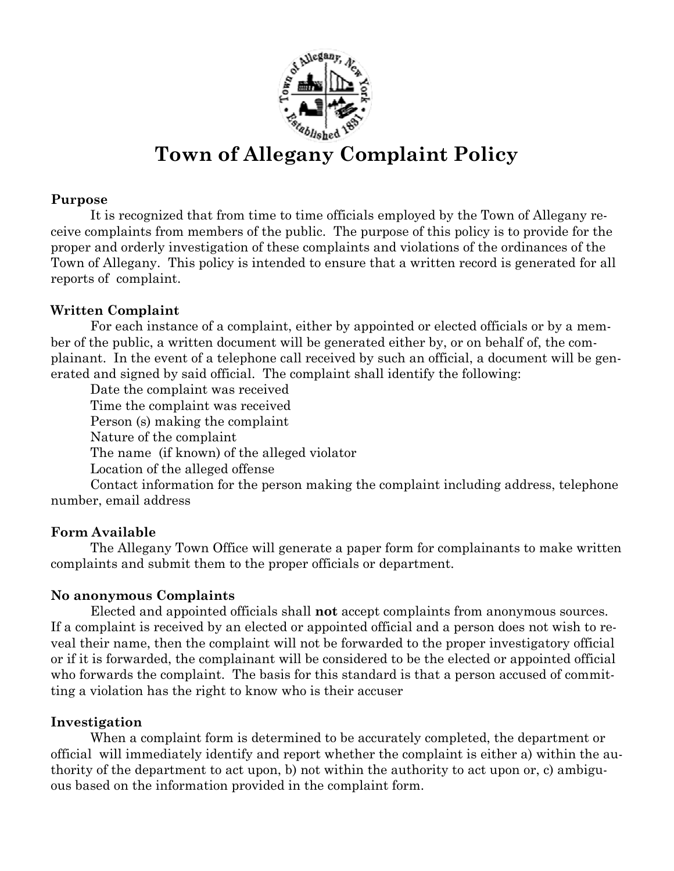

# Town of Allegany Complaint Policy

#### Purpose

It is recognized that from time to time officials employed by the Town of Allegany receive complaints from members of the public. The purpose of this policy is to provide for the proper and orderly investigation of these complaints and violations of the ordinances of the Town of Allegany. This policy is intended to ensure that a written record is generated for all reports of complaint.

## Written Complaint

For each instance of a complaint, either by appointed or elected officials or by a member of the public, a written document will be generated either by, or on behalf of, the complainant. In the event of a telephone call received by such an official, a document will be generated and signed by said official. The complaint shall identify the following:

 Date the complaint was received Time the complaint was received Person (s) making the complaint Nature of the complaint The name (if known) of the alleged violator Location of the alleged offense

 Contact information for the person making the complaint including address, telephone number, email address

## Form Available

The Allegany Town Office will generate a paper form for complainants to make written complaints and submit them to the proper officials or department.

## No anonymous Complaints

Elected and appointed officials shall not accept complaints from anonymous sources. If a complaint is received by an elected or appointed official and a person does not wish to reveal their name, then the complaint will not be forwarded to the proper investigatory official or if it is forwarded, the complainant will be considered to be the elected or appointed official who forwards the complaint. The basis for this standard is that a person accused of committing a violation has the right to know who is their accuser

#### Investigation

When a complaint form is determined to be accurately completed, the department or official will immediately identify and report whether the complaint is either a) within the authority of the department to act upon, b) not within the authority to act upon or, c) ambiguous based on the information provided in the complaint form.